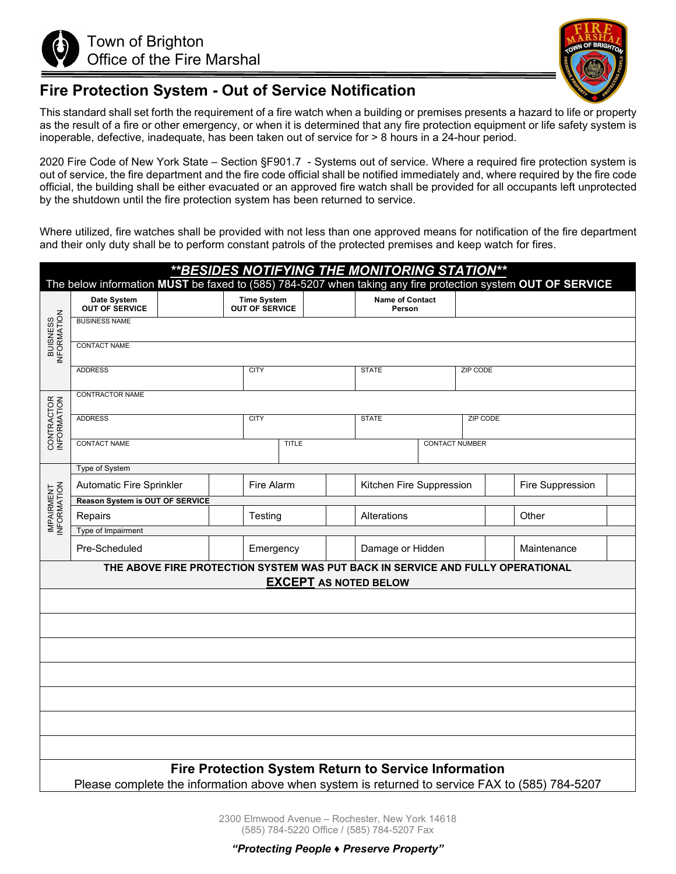



## **Fire Protection System - Out of Service Notification**

This standard shall set forth the requirement of a fire watch when a building or premises presents a hazard to life or property as the result of a fire or other emergency, or when it is determined that any fire protection equipment or life safety system is inoperable, defective, inadequate, has been taken out of service for > 8 hours in a 24-hour period.

2020 Fire Code of New York State – Section §F901.7 - Systems out of service. Where a required fire protection system is out of service, the fire department and the fire code official shall be notified immediately and, where required by the fire code official, the building shall be either evacuated or an approved fire watch shall be provided for all occupants left unprotected by the shutdown until the fire protection system has been returned to service.

Where utilized, fire watches shall be provided with not less than one approved means for notification of the fire department and their only duty shall be to perform constant patrols of the protected premises and keep watch for fires.

| ** BESIDES NOTIFYING THE MONITORING STATION**                                                                  |                                        |                                             |              |                  |                                  |  |                 |                  |  |
|----------------------------------------------------------------------------------------------------------------|----------------------------------------|---------------------------------------------|--------------|------------------|----------------------------------|--|-----------------|------------------|--|
| The below information MUST be faxed to (585) 784-5207 when taking any fire protection system OUT OF SERVICE    |                                        |                                             |              |                  |                                  |  |                 |                  |  |
| BUISNESS<br>INFORMATION                                                                                        | Date System<br><b>OUT OF SERVICE</b>   | <b>Time System</b><br><b>OUT OF SERVICE</b> |              |                  | <b>Name of Contact</b><br>Person |  |                 |                  |  |
|                                                                                                                | <b>BUSINESS NAME</b>                   |                                             |              |                  |                                  |  |                 |                  |  |
|                                                                                                                | <b>CONTACT NAME</b>                    |                                             |              |                  |                                  |  |                 |                  |  |
|                                                                                                                | <b>ADDRESS</b>                         |                                             | <b>CITY</b>  |                  | <b>STATE</b>                     |  | <b>ZIP CODE</b> |                  |  |
| CONTRACTOR<br>INFORMATION                                                                                      | CONTRACTOR NAME                        |                                             |              |                  |                                  |  |                 |                  |  |
|                                                                                                                | <b>ADDRESS</b>                         |                                             | <b>CITY</b>  |                  | <b>STATE</b>                     |  | <b>ZIP CODE</b> |                  |  |
|                                                                                                                | <b>CONTACT NAME</b>                    |                                             | <b>TITLE</b> |                  | <b>CONTACT NUMBER</b>            |  |                 |                  |  |
|                                                                                                                | Type of System                         |                                             |              |                  |                                  |  |                 |                  |  |
| IMPAIRMENT<br>INFORMATION                                                                                      | Automatic Fire Sprinkler               |                                             | Fire Alarm   |                  | Kitchen Fire Suppression         |  |                 | Fire Suppression |  |
|                                                                                                                | <b>Reason System is OUT OF SERVICE</b> |                                             |              |                  |                                  |  |                 |                  |  |
|                                                                                                                | Repairs                                |                                             | Testing      |                  | Alterations                      |  |                 | Other            |  |
|                                                                                                                | Type of Impairment                     |                                             |              |                  |                                  |  |                 |                  |  |
|                                                                                                                | Pre-Scheduled                          | Emergency                                   |              | Damage or Hidden |                                  |  |                 | Maintenance      |  |
| THE ABOVE FIRE PROTECTION SYSTEM WAS PUT BACK IN SERVICE AND FULLY OPERATIONAL<br><b>EXCEPT AS NOTED BELOW</b> |                                        |                                             |              |                  |                                  |  |                 |                  |  |
|                                                                                                                |                                        |                                             |              |                  |                                  |  |                 |                  |  |
|                                                                                                                |                                        |                                             |              |                  |                                  |  |                 |                  |  |
|                                                                                                                |                                        |                                             |              |                  |                                  |  |                 |                  |  |
|                                                                                                                |                                        |                                             |              |                  |                                  |  |                 |                  |  |
|                                                                                                                |                                        |                                             |              |                  |                                  |  |                 |                  |  |
|                                                                                                                |                                        |                                             |              |                  |                                  |  |                 |                  |  |
|                                                                                                                |                                        |                                             |              |                  |                                  |  |                 |                  |  |
| <b>Fire Protection System Return to Service Information</b>                                                    |                                        |                                             |              |                  |                                  |  |                 |                  |  |
| Please complete the information above when system is returned to service FAX to (585) 784-5207                 |                                        |                                             |              |                  |                                  |  |                 |                  |  |

2300 Elmwood Avenue – Rochester, New York 14618 (585) 784-5220 Office / (585) 784-5207 Fax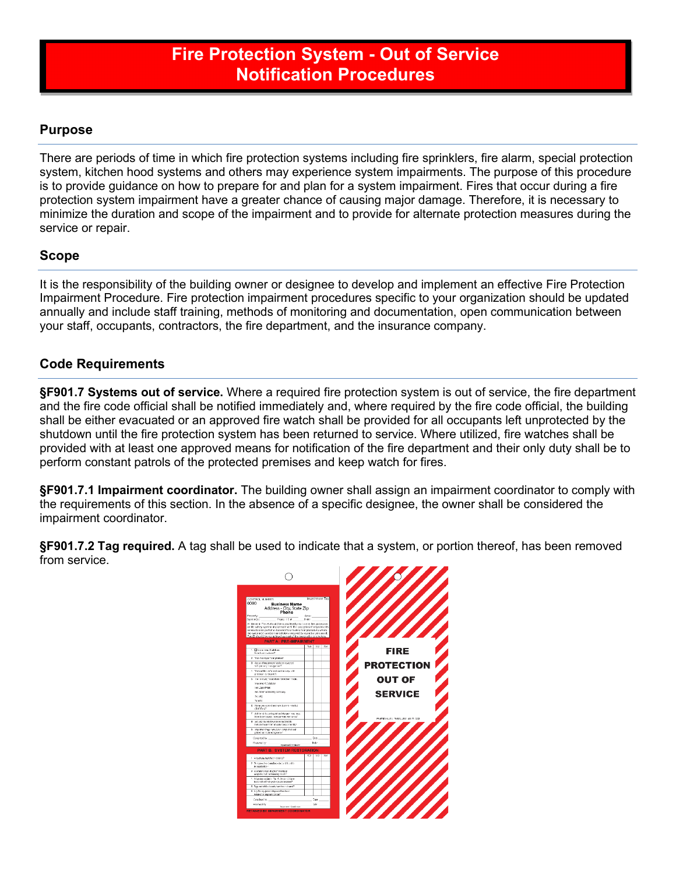# **Fire Protection System - Out of Service Notification Procedures**

### **Purpose**

There are periods of time in which fire protection systems including fire sprinklers, fire alarm, special protection system, kitchen hood systems and others may experience system impairments. The purpose of this procedure is to provide guidance on how to prepare for and plan for a system impairment. Fires that occur during a fire protection system impairment have a greater chance of causing major damage. Therefore, it is necessary to minimize the duration and scope of the impairment and to provide for alternate protection measures during the service or repair.

#### **Scope**

It is the responsibility of the building owner or designee to develop and implement an effective Fire Protection Impairment Procedure. Fire protection impairment procedures specific to your organization should be updated annually and include staff training, methods of monitoring and documentation, open communication between your staff, occupants, contractors, the fire department, and the insurance company.

### **Code Requirements**

**§F901.7 Systems out of service.** Where a required fire protection system is out of service, the fire department and the fire code official shall be notified immediately and, where required by the fire code official, the building shall be either evacuated or an approved fire watch shall be provided for all occupants left unprotected by the shutdown until the fire protection system has been returned to service. Where utilized, fire watches shall be provided with at least one approved means for notification of the fire department and their only duty shall be to perform constant patrols of the protected premises and keep watch for fires.

**§F901.7.1 Impairment coordinator.** The building owner shall assign an impairment coordinator to comply with the requirements of this section. In the absence of a specific designee, the owner shall be considered the impairment coordinator.

**§F901.7.2 Tag required.** A tag shall be used to indicate that a system, or portion thereof, has been removed from service.